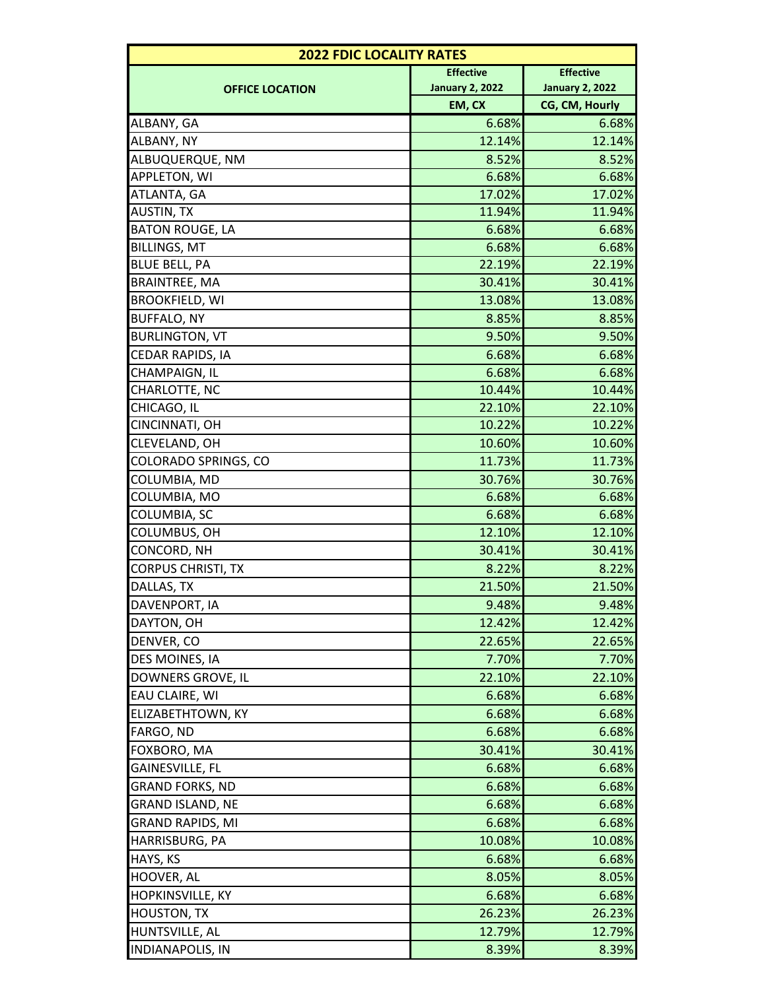| <b>2022 FDIC LOCALITY RATES</b> |                        |                        |  |
|---------------------------------|------------------------|------------------------|--|
| <b>OFFICE LOCATION</b>          | <b>Effective</b>       | <b>Effective</b>       |  |
|                                 | <b>January 2, 2022</b> | <b>January 2, 2022</b> |  |
|                                 | EM, CX                 | CG, CM, Hourly         |  |
| ALBANY, GA                      | 6.68%                  | 6.68%                  |  |
| ALBANY, NY                      | 12.14%                 | 12.14%                 |  |
| ALBUQUERQUE, NM                 | 8.52%                  | 8.52%                  |  |
| <b>APPLETON, WI</b>             | 6.68%                  | 6.68%                  |  |
| ATLANTA, GA                     | 17.02%                 | 17.02%                 |  |
| <b>AUSTIN, TX</b>               | 11.94%                 | 11.94%                 |  |
| <b>BATON ROUGE, LA</b>          | 6.68%                  | 6.68%                  |  |
| <b>BILLINGS, MT</b>             | 6.68%                  | 6.68%                  |  |
| <b>BLUE BELL, PA</b>            | 22.19%                 | 22.19%                 |  |
| <b>BRAINTREE, MA</b>            | 30.41%                 | 30.41%                 |  |
| <b>BROOKFIELD, WI</b>           | 13.08%                 | 13.08%                 |  |
| <b>BUFFALO, NY</b>              | 8.85%                  | 8.85%                  |  |
| <b>BURLINGTON, VT</b>           | 9.50%                  | 9.50%                  |  |
| CEDAR RAPIDS, IA                | 6.68%                  | 6.68%                  |  |
| CHAMPAIGN, IL                   | 6.68%                  | 6.68%                  |  |
| CHARLOTTE, NC                   | 10.44%                 | 10.44%                 |  |
| CHICAGO, IL                     | 22.10%                 | 22.10%                 |  |
| CINCINNATI, OH                  | 10.22%                 | 10.22%                 |  |
| CLEVELAND, OH                   | 10.60%                 | 10.60%                 |  |
| COLORADO SPRINGS, CO            | 11.73%                 | 11.73%                 |  |
| COLUMBIA, MD                    | 30.76%                 | 30.76%                 |  |
| COLUMBIA, MO                    | 6.68%                  | 6.68%                  |  |
| COLUMBIA, SC                    | 6.68%                  | 6.68%                  |  |
| COLUMBUS, OH                    | 12.10%                 | 12.10%                 |  |
| CONCORD, NH                     | 30.41%                 | 30.41%                 |  |
| <b>CORPUS CHRISTI, TX</b>       | 8.22%                  | 8.22%                  |  |
| DALLAS, TX                      | 21.50%                 | 21.50%                 |  |
| DAVENPORT, IA                   | 9.48%                  | 9.48%                  |  |
| DAYTON, OH                      | 12.42%                 | 12.42%                 |  |
| DENVER, CO                      | 22.65%                 | 22.65%                 |  |
| DES MOINES, IA                  | 7.70%                  | 7.70%                  |  |
| DOWNERS GROVE, IL               | 22.10%                 | 22.10%                 |  |
| EAU CLAIRE, WI                  | 6.68%                  | 6.68%                  |  |
| ELIZABETHTOWN, KY               | 6.68%                  | 6.68%                  |  |
| FARGO, ND                       | 6.68%                  | 6.68%                  |  |
| FOXBORO, MA                     | 30.41%                 | 30.41%                 |  |
| GAINESVILLE, FL                 | 6.68%                  | 6.68%                  |  |
| GRAND FORKS, ND                 | 6.68%                  | 6.68%                  |  |
| GRAND ISLAND, NE                | 6.68%                  | 6.68%                  |  |
| <b>GRAND RAPIDS, MI</b>         | 6.68%                  | 6.68%                  |  |
| HARRISBURG, PA                  | 10.08%                 | 10.08%                 |  |
| HAYS, KS                        | 6.68%                  | 6.68%                  |  |
| HOOVER, AL                      | 8.05%                  | 8.05%                  |  |
| HOPKINSVILLE, KY                | 6.68%                  | 6.68%                  |  |
| <b>HOUSTON, TX</b>              | 26.23%                 | 26.23%                 |  |
| HUNTSVILLE, AL                  | 12.79%                 | 12.79%                 |  |
| <b>INDIANAPOLIS, IN</b>         | 8.39%                  | 8.39%                  |  |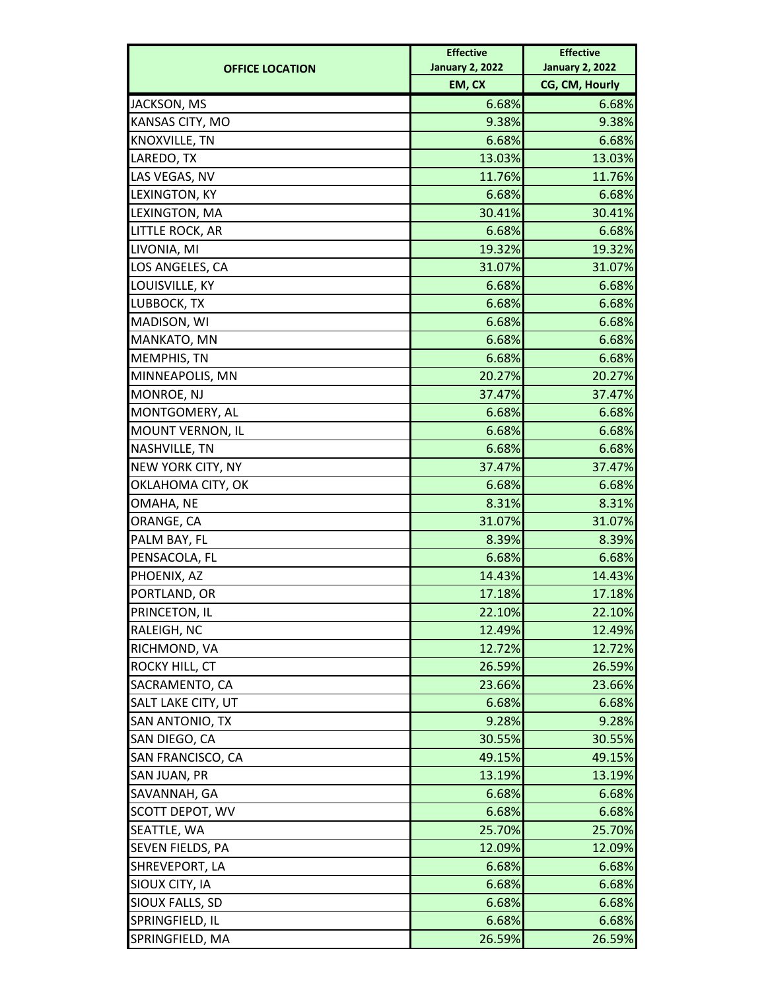| CG, CM, Hourly<br>EM, CX<br>6.68%<br>JACKSON, MS<br>KANSAS CITY, MO<br>9.38%<br>KNOXVILLE, TN<br>6.68%<br>LAREDO, TX<br>13.03%<br>LAS VEGAS, NV<br>11.76%<br>6.68%<br>LEXINGTON, KY<br>30.41%<br>LEXINGTON, MA<br>LITTLE ROCK, AR<br>6.68%<br>LIVONIA, MI<br>19.32%<br>LOS ANGELES, CA<br>31.07%<br>LOUISVILLE, KY<br>6.68%<br>LUBBOCK, TX<br>6.68%<br>MADISON, WI<br>6.68%<br>MANKATO, MN<br>6.68%<br>6.68%<br><b>MEMPHIS, TN</b><br>MINNEAPOLIS, MN<br>20.27%<br>MONROE, NJ<br>37.47%<br>MONTGOMERY, AL<br>6.68%<br>MOUNT VERNON, IL<br>6.68%<br>NASHVILLE, TN<br>6.68%<br>NEW YORK CITY, NY<br>37.47%<br>OKLAHOMA CITY, OK<br>6.68%<br>8.31%<br>OMAHA, NE<br>ORANGE, CA<br>31.07%<br>8.39%<br>PALM BAY, FL<br>PENSACOLA, FL<br>6.68%<br>PHOENIX, AZ<br>14.43%<br>PORTLAND, OR<br>17.18%<br>22.10%<br>22.10%<br>PRINCETON, IL<br>RALEIGH, NC<br>12.49%<br>12.49%<br>RICHMOND, VA<br>12.72%<br>12.72%<br>ROCKY HILL, CT<br>26.59%<br>26.59%<br>SACRAMENTO, CA<br>23.66%<br>23.66%<br>SALT LAKE CITY, UT<br>6.68%<br>6.68%<br>SAN ANTONIO, TX<br>9.28%<br>9.28%<br>SAN DIEGO, CA<br>30.55%<br>30.55%<br>SAN FRANCISCO, CA<br>49.15%<br>49.15%<br>SAN JUAN, PR<br>13.19%<br>13.19%<br>SAVANNAH, GA<br>6.68%<br>6.68%<br>SCOTT DEPOT, WV<br>6.68%<br>6.68%<br>25.70%<br>25.70%<br>SEATTLE, WA<br>SEVEN FIELDS, PA<br>12.09%<br>12.09%<br>SHREVEPORT, LA<br>6.68%<br>6.68%<br>SIOUX CITY, IA<br>6.68%<br>6.68%<br>SIOUX FALLS, SD<br>6.68%<br>6.68%<br>6.68%<br>SPRINGFIELD, IL<br>6.68%<br>SPRINGFIELD, MA<br>26.59%<br>26.59% | <b>OFFICE LOCATION</b> | <b>Effective</b><br><b>January 2, 2022</b> | <b>Effective</b><br><b>January 2, 2022</b> |
|------------------------------------------------------------------------------------------------------------------------------------------------------------------------------------------------------------------------------------------------------------------------------------------------------------------------------------------------------------------------------------------------------------------------------------------------------------------------------------------------------------------------------------------------------------------------------------------------------------------------------------------------------------------------------------------------------------------------------------------------------------------------------------------------------------------------------------------------------------------------------------------------------------------------------------------------------------------------------------------------------------------------------------------------------------------------------------------------------------------------------------------------------------------------------------------------------------------------------------------------------------------------------------------------------------------------------------------------------------------------------------------------------------------------------------------------------------------------------------------------------------------------------|------------------------|--------------------------------------------|--------------------------------------------|
|                                                                                                                                                                                                                                                                                                                                                                                                                                                                                                                                                                                                                                                                                                                                                                                                                                                                                                                                                                                                                                                                                                                                                                                                                                                                                                                                                                                                                                                                                                                              |                        |                                            |                                            |
|                                                                                                                                                                                                                                                                                                                                                                                                                                                                                                                                                                                                                                                                                                                                                                                                                                                                                                                                                                                                                                                                                                                                                                                                                                                                                                                                                                                                                                                                                                                              |                        |                                            | 6.68%                                      |
|                                                                                                                                                                                                                                                                                                                                                                                                                                                                                                                                                                                                                                                                                                                                                                                                                                                                                                                                                                                                                                                                                                                                                                                                                                                                                                                                                                                                                                                                                                                              |                        |                                            | 9.38%                                      |
|                                                                                                                                                                                                                                                                                                                                                                                                                                                                                                                                                                                                                                                                                                                                                                                                                                                                                                                                                                                                                                                                                                                                                                                                                                                                                                                                                                                                                                                                                                                              |                        |                                            | 6.68%                                      |
|                                                                                                                                                                                                                                                                                                                                                                                                                                                                                                                                                                                                                                                                                                                                                                                                                                                                                                                                                                                                                                                                                                                                                                                                                                                                                                                                                                                                                                                                                                                              |                        |                                            | 13.03%                                     |
|                                                                                                                                                                                                                                                                                                                                                                                                                                                                                                                                                                                                                                                                                                                                                                                                                                                                                                                                                                                                                                                                                                                                                                                                                                                                                                                                                                                                                                                                                                                              |                        |                                            | 11.76%                                     |
|                                                                                                                                                                                                                                                                                                                                                                                                                                                                                                                                                                                                                                                                                                                                                                                                                                                                                                                                                                                                                                                                                                                                                                                                                                                                                                                                                                                                                                                                                                                              |                        |                                            | 6.68%                                      |
|                                                                                                                                                                                                                                                                                                                                                                                                                                                                                                                                                                                                                                                                                                                                                                                                                                                                                                                                                                                                                                                                                                                                                                                                                                                                                                                                                                                                                                                                                                                              |                        |                                            | 30.41%                                     |
|                                                                                                                                                                                                                                                                                                                                                                                                                                                                                                                                                                                                                                                                                                                                                                                                                                                                                                                                                                                                                                                                                                                                                                                                                                                                                                                                                                                                                                                                                                                              |                        |                                            | 6.68%                                      |
|                                                                                                                                                                                                                                                                                                                                                                                                                                                                                                                                                                                                                                                                                                                                                                                                                                                                                                                                                                                                                                                                                                                                                                                                                                                                                                                                                                                                                                                                                                                              |                        |                                            | 19.32%                                     |
|                                                                                                                                                                                                                                                                                                                                                                                                                                                                                                                                                                                                                                                                                                                                                                                                                                                                                                                                                                                                                                                                                                                                                                                                                                                                                                                                                                                                                                                                                                                              |                        |                                            | 31.07%                                     |
|                                                                                                                                                                                                                                                                                                                                                                                                                                                                                                                                                                                                                                                                                                                                                                                                                                                                                                                                                                                                                                                                                                                                                                                                                                                                                                                                                                                                                                                                                                                              |                        |                                            | 6.68%                                      |
|                                                                                                                                                                                                                                                                                                                                                                                                                                                                                                                                                                                                                                                                                                                                                                                                                                                                                                                                                                                                                                                                                                                                                                                                                                                                                                                                                                                                                                                                                                                              |                        |                                            | 6.68%                                      |
|                                                                                                                                                                                                                                                                                                                                                                                                                                                                                                                                                                                                                                                                                                                                                                                                                                                                                                                                                                                                                                                                                                                                                                                                                                                                                                                                                                                                                                                                                                                              |                        |                                            | 6.68%                                      |
|                                                                                                                                                                                                                                                                                                                                                                                                                                                                                                                                                                                                                                                                                                                                                                                                                                                                                                                                                                                                                                                                                                                                                                                                                                                                                                                                                                                                                                                                                                                              |                        |                                            | 6.68%                                      |
|                                                                                                                                                                                                                                                                                                                                                                                                                                                                                                                                                                                                                                                                                                                                                                                                                                                                                                                                                                                                                                                                                                                                                                                                                                                                                                                                                                                                                                                                                                                              |                        |                                            | 6.68%                                      |
|                                                                                                                                                                                                                                                                                                                                                                                                                                                                                                                                                                                                                                                                                                                                                                                                                                                                                                                                                                                                                                                                                                                                                                                                                                                                                                                                                                                                                                                                                                                              |                        |                                            | 20.27%                                     |
|                                                                                                                                                                                                                                                                                                                                                                                                                                                                                                                                                                                                                                                                                                                                                                                                                                                                                                                                                                                                                                                                                                                                                                                                                                                                                                                                                                                                                                                                                                                              |                        |                                            | 37.47%                                     |
|                                                                                                                                                                                                                                                                                                                                                                                                                                                                                                                                                                                                                                                                                                                                                                                                                                                                                                                                                                                                                                                                                                                                                                                                                                                                                                                                                                                                                                                                                                                              |                        |                                            | 6.68%                                      |
|                                                                                                                                                                                                                                                                                                                                                                                                                                                                                                                                                                                                                                                                                                                                                                                                                                                                                                                                                                                                                                                                                                                                                                                                                                                                                                                                                                                                                                                                                                                              |                        |                                            | 6.68%                                      |
|                                                                                                                                                                                                                                                                                                                                                                                                                                                                                                                                                                                                                                                                                                                                                                                                                                                                                                                                                                                                                                                                                                                                                                                                                                                                                                                                                                                                                                                                                                                              |                        |                                            | 6.68%                                      |
|                                                                                                                                                                                                                                                                                                                                                                                                                                                                                                                                                                                                                                                                                                                                                                                                                                                                                                                                                                                                                                                                                                                                                                                                                                                                                                                                                                                                                                                                                                                              |                        |                                            | 37.47%                                     |
|                                                                                                                                                                                                                                                                                                                                                                                                                                                                                                                                                                                                                                                                                                                                                                                                                                                                                                                                                                                                                                                                                                                                                                                                                                                                                                                                                                                                                                                                                                                              |                        |                                            | 6.68%                                      |
|                                                                                                                                                                                                                                                                                                                                                                                                                                                                                                                                                                                                                                                                                                                                                                                                                                                                                                                                                                                                                                                                                                                                                                                                                                                                                                                                                                                                                                                                                                                              |                        |                                            | 8.31%                                      |
|                                                                                                                                                                                                                                                                                                                                                                                                                                                                                                                                                                                                                                                                                                                                                                                                                                                                                                                                                                                                                                                                                                                                                                                                                                                                                                                                                                                                                                                                                                                              |                        |                                            | 31.07%                                     |
|                                                                                                                                                                                                                                                                                                                                                                                                                                                                                                                                                                                                                                                                                                                                                                                                                                                                                                                                                                                                                                                                                                                                                                                                                                                                                                                                                                                                                                                                                                                              |                        |                                            | 8.39%                                      |
|                                                                                                                                                                                                                                                                                                                                                                                                                                                                                                                                                                                                                                                                                                                                                                                                                                                                                                                                                                                                                                                                                                                                                                                                                                                                                                                                                                                                                                                                                                                              |                        |                                            | 6.68%                                      |
|                                                                                                                                                                                                                                                                                                                                                                                                                                                                                                                                                                                                                                                                                                                                                                                                                                                                                                                                                                                                                                                                                                                                                                                                                                                                                                                                                                                                                                                                                                                              |                        |                                            | 14.43%                                     |
|                                                                                                                                                                                                                                                                                                                                                                                                                                                                                                                                                                                                                                                                                                                                                                                                                                                                                                                                                                                                                                                                                                                                                                                                                                                                                                                                                                                                                                                                                                                              |                        |                                            | 17.18%                                     |
|                                                                                                                                                                                                                                                                                                                                                                                                                                                                                                                                                                                                                                                                                                                                                                                                                                                                                                                                                                                                                                                                                                                                                                                                                                                                                                                                                                                                                                                                                                                              |                        |                                            |                                            |
|                                                                                                                                                                                                                                                                                                                                                                                                                                                                                                                                                                                                                                                                                                                                                                                                                                                                                                                                                                                                                                                                                                                                                                                                                                                                                                                                                                                                                                                                                                                              |                        |                                            |                                            |
|                                                                                                                                                                                                                                                                                                                                                                                                                                                                                                                                                                                                                                                                                                                                                                                                                                                                                                                                                                                                                                                                                                                                                                                                                                                                                                                                                                                                                                                                                                                              |                        |                                            |                                            |
|                                                                                                                                                                                                                                                                                                                                                                                                                                                                                                                                                                                                                                                                                                                                                                                                                                                                                                                                                                                                                                                                                                                                                                                                                                                                                                                                                                                                                                                                                                                              |                        |                                            |                                            |
|                                                                                                                                                                                                                                                                                                                                                                                                                                                                                                                                                                                                                                                                                                                                                                                                                                                                                                                                                                                                                                                                                                                                                                                                                                                                                                                                                                                                                                                                                                                              |                        |                                            |                                            |
|                                                                                                                                                                                                                                                                                                                                                                                                                                                                                                                                                                                                                                                                                                                                                                                                                                                                                                                                                                                                                                                                                                                                                                                                                                                                                                                                                                                                                                                                                                                              |                        |                                            |                                            |
|                                                                                                                                                                                                                                                                                                                                                                                                                                                                                                                                                                                                                                                                                                                                                                                                                                                                                                                                                                                                                                                                                                                                                                                                                                                                                                                                                                                                                                                                                                                              |                        |                                            |                                            |
|                                                                                                                                                                                                                                                                                                                                                                                                                                                                                                                                                                                                                                                                                                                                                                                                                                                                                                                                                                                                                                                                                                                                                                                                                                                                                                                                                                                                                                                                                                                              |                        |                                            |                                            |
|                                                                                                                                                                                                                                                                                                                                                                                                                                                                                                                                                                                                                                                                                                                                                                                                                                                                                                                                                                                                                                                                                                                                                                                                                                                                                                                                                                                                                                                                                                                              |                        |                                            |                                            |
|                                                                                                                                                                                                                                                                                                                                                                                                                                                                                                                                                                                                                                                                                                                                                                                                                                                                                                                                                                                                                                                                                                                                                                                                                                                                                                                                                                                                                                                                                                                              |                        |                                            |                                            |
|                                                                                                                                                                                                                                                                                                                                                                                                                                                                                                                                                                                                                                                                                                                                                                                                                                                                                                                                                                                                                                                                                                                                                                                                                                                                                                                                                                                                                                                                                                                              |                        |                                            |                                            |
|                                                                                                                                                                                                                                                                                                                                                                                                                                                                                                                                                                                                                                                                                                                                                                                                                                                                                                                                                                                                                                                                                                                                                                                                                                                                                                                                                                                                                                                                                                                              |                        |                                            |                                            |
|                                                                                                                                                                                                                                                                                                                                                                                                                                                                                                                                                                                                                                                                                                                                                                                                                                                                                                                                                                                                                                                                                                                                                                                                                                                                                                                                                                                                                                                                                                                              |                        |                                            |                                            |
|                                                                                                                                                                                                                                                                                                                                                                                                                                                                                                                                                                                                                                                                                                                                                                                                                                                                                                                                                                                                                                                                                                                                                                                                                                                                                                                                                                                                                                                                                                                              |                        |                                            |                                            |
|                                                                                                                                                                                                                                                                                                                                                                                                                                                                                                                                                                                                                                                                                                                                                                                                                                                                                                                                                                                                                                                                                                                                                                                                                                                                                                                                                                                                                                                                                                                              |                        |                                            |                                            |
|                                                                                                                                                                                                                                                                                                                                                                                                                                                                                                                                                                                                                                                                                                                                                                                                                                                                                                                                                                                                                                                                                                                                                                                                                                                                                                                                                                                                                                                                                                                              |                        |                                            |                                            |
|                                                                                                                                                                                                                                                                                                                                                                                                                                                                                                                                                                                                                                                                                                                                                                                                                                                                                                                                                                                                                                                                                                                                                                                                                                                                                                                                                                                                                                                                                                                              |                        |                                            |                                            |
|                                                                                                                                                                                                                                                                                                                                                                                                                                                                                                                                                                                                                                                                                                                                                                                                                                                                                                                                                                                                                                                                                                                                                                                                                                                                                                                                                                                                                                                                                                                              |                        |                                            |                                            |
|                                                                                                                                                                                                                                                                                                                                                                                                                                                                                                                                                                                                                                                                                                                                                                                                                                                                                                                                                                                                                                                                                                                                                                                                                                                                                                                                                                                                                                                                                                                              |                        |                                            |                                            |